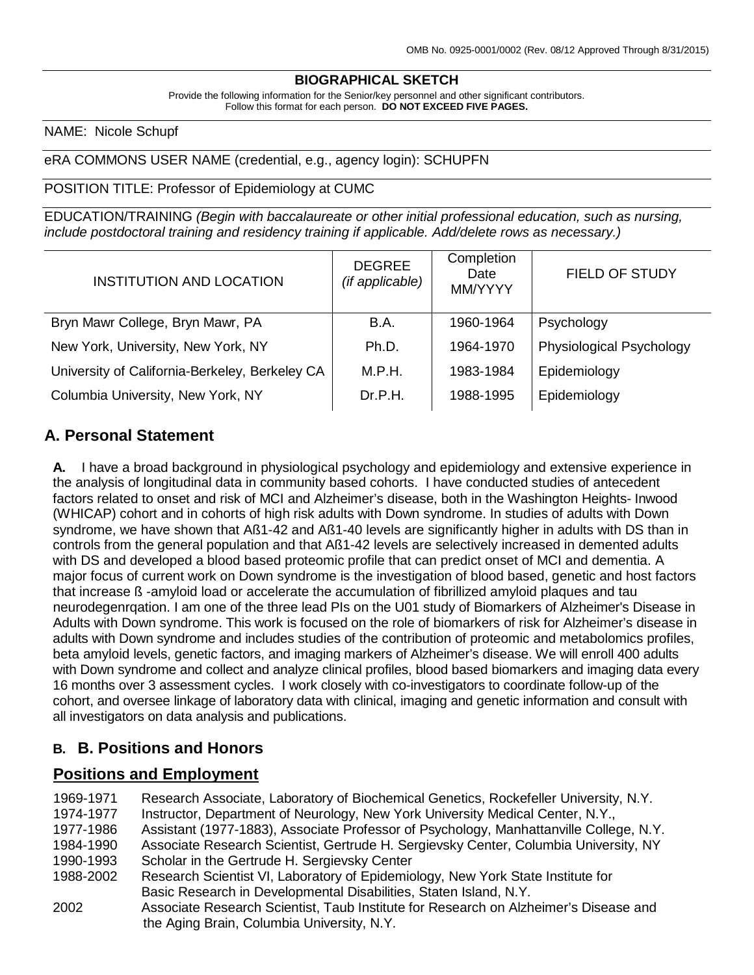## **BIOGRAPHICAL SKETCH**

Provide the following information for the Senior/key personnel and other significant contributors. Follow this format for each person. **DO NOT EXCEED FIVE PAGES.**

#### NAME: Nicole Schupf

#### eRA COMMONS USER NAME (credential, e.g., agency login): SCHUPFN

#### POSITION TITLE: Professor of Epidemiology at CUMC

EDUCATION/TRAINING *(Begin with baccalaureate or other initial professional education, such as nursing, include postdoctoral training and residency training if applicable. Add/delete rows as necessary.)*

| <b>INSTITUTION AND LOCATION</b>                | <b>DEGREE</b><br>(if applicable) | Completion<br>Date<br>MM/YYYY | <b>FIELD OF STUDY</b>    |
|------------------------------------------------|----------------------------------|-------------------------------|--------------------------|
| Bryn Mawr College, Bryn Mawr, PA               | B.A.                             | 1960-1964                     | Psychology               |
| New York, University, New York, NY             | Ph.D.                            | 1964-1970                     | Physiological Psychology |
| University of California-Berkeley, Berkeley CA | M.P.H.                           | 1983-1984                     | Epidemiology             |
| Columbia University, New York, NY              | Dr.P.H.                          | 1988-1995                     | Epidemiology             |

### **A. Personal Statement**

**A.** I have a broad background in physiological psychology and epidemiology and extensive experience in the analysis of longitudinal data in community based cohorts. I have conducted studies of antecedent factors related to onset and risk of MCI and Alzheimer's disease, both in the Washington Heights- Inwood (WHICAP) cohort and in cohorts of high risk adults with Down syndrome. In studies of adults with Down syndrome, we have shown that Aß1-42 and Aß1-40 levels are significantly higher in adults with DS than in controls from the general population and that Aß1-42 levels are selectively increased in demented adults with DS and developed a blood based proteomic profile that can predict onset of MCI and dementia. A major focus of current work on Down syndrome is the investigation of blood based, genetic and host factors that increase ß -amyloid load or accelerate the accumulation of fibrillized amyloid plaques and tau neurodegenrqation. I am one of the three lead PIs on the U01 study of Biomarkers of Alzheimer's Disease in Adults with Down syndrome. This work is focused on the role of biomarkers of risk for Alzheimer's disease in adults with Down syndrome and includes studies of the contribution of proteomic and metabolomics profiles, beta amyloid levels, genetic factors, and imaging markers of Alzheimer's disease. We will enroll 400 adults with Down syndrome and collect and analyze clinical profiles, blood based biomarkers and imaging data every 16 months over 3 assessment cycles. I work closely with co-investigators to coordinate follow-up of the cohort, and oversee linkage of laboratory data with clinical, imaging and genetic information and consult with all investigators on data analysis and publications.

#### **B. B. Positions and Honors**

### **Positions and Employment**

| 1969-1971<br>1974-1977 | Research Associate, Laboratory of Biochemical Genetics, Rockefeller University, N.Y.<br>Instructor, Department of Neurology, New York University Medical Center, N.Y., |
|------------------------|------------------------------------------------------------------------------------------------------------------------------------------------------------------------|
| 1977-1986              | Assistant (1977-1883), Associate Professor of Psychology, Manhattanville College, N.Y.                                                                                 |
| 1984-1990              | Associate Research Scientist, Gertrude H. Sergievsky Center, Columbia University, NY                                                                                   |
| 1990-1993              | Scholar in the Gertrude H. Sergievsky Center                                                                                                                           |
| 1988-2002              | Research Scientist VI, Laboratory of Epidemiology, New York State Institute for                                                                                        |
|                        | Basic Research in Developmental Disabilities, Staten Island, N.Y.                                                                                                      |
| 2002                   | Associate Research Scientist, Taub Institute for Research on Alzheimer's Disease and                                                                                   |
|                        | the Aging Brain, Columbia University, N.Y.                                                                                                                             |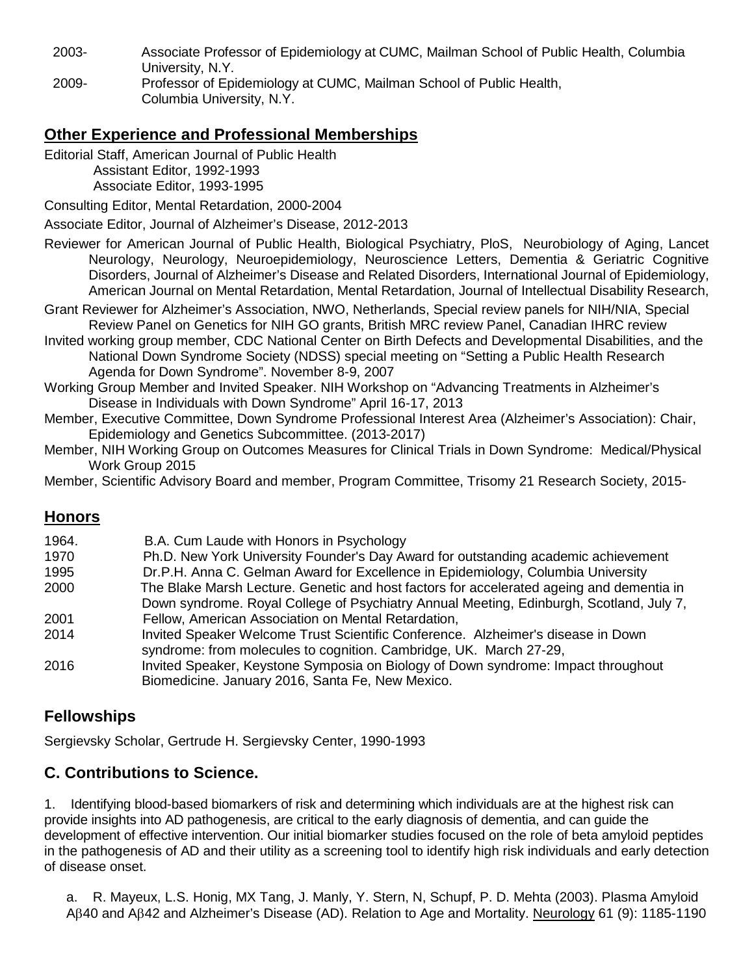2003- Associate Professor of Epidemiology at CUMC, Mailman School of Public Health, Columbia University, N.Y.

2009- Professor of Epidemiology at CUMC, Mailman School of Public Health, Columbia University, N.Y.

# **Other Experience and Professional Memberships**

Editorial Staff, American Journal of Public Health

 Assistant Editor, 1992-1993 Associate Editor, 1993-1995

Consulting Editor, Mental Retardation, 2000-2004

Associate Editor, Journal of Alzheimer's Disease, 2012-2013

- Reviewer for American Journal of Public Health, Biological Psychiatry, PloS, Neurobiology of Aging, Lancet Neurology, Neurology, Neuroepidemiology, Neuroscience Letters, Dementia & Geriatric Cognitive Disorders, Journal of Alzheimer's Disease and Related Disorders, International Journal of Epidemiology, American Journal on Mental Retardation, Mental Retardation, Journal of Intellectual Disability Research,
- Grant Reviewer for Alzheimer's Association, NWO, Netherlands, Special review panels for NIH/NIA, Special Review Panel on Genetics for NIH GO grants, British MRC review Panel, Canadian IHRC review
- Invited working group member, CDC National Center on Birth Defects and Developmental Disabilities, and the National Down Syndrome Society (NDSS) special meeting on "Setting a Public Health Research Agenda for Down Syndrome". November 8-9, 2007
- Working Group Member and Invited Speaker. NIH Workshop on "Advancing Treatments in Alzheimer's Disease in Individuals with Down Syndrome" April 16-17, 2013
- Member, Executive Committee, Down Syndrome Professional Interest Area (Alzheimer's Association): Chair, Epidemiology and Genetics Subcommittee. (2013-2017)
- Member, NIH Working Group on Outcomes Measures for Clinical Trials in Down Syndrome: Medical/Physical Work Group 2015

Member, Scientific Advisory Board and member, Program Committee, Trisomy 21 Research Society, 2015-

# **Honors**

| 1964. | B.A. Cum Laude with Honors in Psychology                                                 |
|-------|------------------------------------------------------------------------------------------|
| 1970  | Ph.D. New York University Founder's Day Award for outstanding academic achievement       |
| 1995  | Dr.P.H. Anna C. Gelman Award for Excellence in Epidemiology, Columbia University         |
| 2000  | The Blake Marsh Lecture. Genetic and host factors for accelerated ageing and dementia in |
|       | Down syndrome. Royal College of Psychiatry Annual Meeting, Edinburgh, Scotland, July 7,  |
| 2001  | Fellow, American Association on Mental Retardation,                                      |
| 2014  | Invited Speaker Welcome Trust Scientific Conference. Alzheimer's disease in Down         |
|       | syndrome: from molecules to cognition. Cambridge, UK. March 27-29,                       |
| 2016  | Invited Speaker, Keystone Symposia on Biology of Down syndrome: Impact throughout        |
|       | Biomedicine. January 2016, Santa Fe, New Mexico.                                         |

# **Fellowships**

Sergievsky Scholar, Gertrude H. Sergievsky Center, 1990-1993

# **C. Contributions to Science.**

1. Identifying blood-based biomarkers of risk and determining which individuals are at the highest risk can provide insights into AD pathogenesis, are critical to the early diagnosis of dementia, and can guide the development of effective intervention. Our initial biomarker studies focused on the role of beta amyloid peptides in the pathogenesis of AD and their utility as a screening tool to identify high risk individuals and early detection of disease onset.

a. R. Mayeux, L.S. Honig, MX Tang, J. Manly, Y. Stern, N, Schupf, P. D. Mehta (2003). Plasma Amyloid Aβ40 and Aβ42 and Alzheimer's Disease (AD). Relation to Age and Mortality. Neurology 61 (9): 1185-1190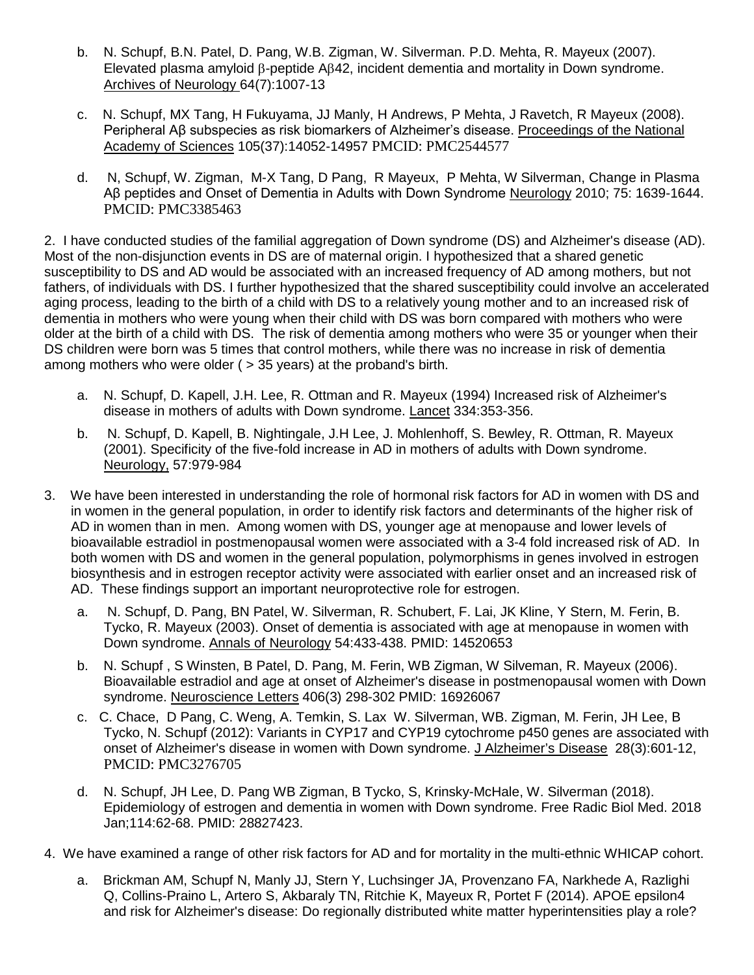- b. N. Schupf, B.N. Patel, D. Pang, W.B. Zigman, W. Silverman. P.D. Mehta, R. Mayeux (2007). Elevated plasma amyloid β-peptide Aβ42, incident dementia and mortality in Down syndrome. Archives of Neurology 64(7):1007-13
- c. N. Schupf, MX Tang, H Fukuyama, JJ Manly, H Andrews, P Mehta, J Ravetch, R Mayeux (2008). Peripheral Aβ subspecies as risk biomarkers of Alzheimer's disease. Proceedings of the National Academy of Sciences 105(37):14052-14957 PMCID: PMC2544577
- d. N, Schupf, W. Zigman, M-X Tang, D Pang, R Mayeux, P Mehta, W Silverman, Change in Plasma Aβ peptides and Onset of Dementia in Adults with Down Syndrome Neurology 2010; 75: 1639-1644. PMCID: PMC3385463

2. I have conducted studies of the familial aggregation of Down syndrome (DS) and Alzheimer's disease (AD). Most of the non-disjunction events in DS are of maternal origin. I hypothesized that a shared genetic susceptibility to DS and AD would be associated with an increased frequency of AD among mothers, but not fathers, of individuals with DS. I further hypothesized that the shared susceptibility could involve an accelerated aging process, leading to the birth of a child with DS to a relatively young mother and to an increased risk of dementia in mothers who were young when their child with DS was born compared with mothers who were older at the birth of a child with DS. The risk of dementia among mothers who were 35 or younger when their DS children were born was 5 times that control mothers, while there was no increase in risk of dementia among mothers who were older ( > 35 years) at the proband's birth.

- a. N. Schupf, D. Kapell, J.H. Lee, R. Ottman and R. Mayeux (1994) Increased risk of Alzheimer's disease in mothers of adults with Down syndrome. Lancet 334:353-356.
- b. N. Schupf, D. Kapell, B. Nightingale, J.H Lee, J. Mohlenhoff, S. Bewley, R. Ottman, R. Mayeux (2001). Specificity of the five-fold increase in AD in mothers of adults with Down syndrome. Neurology, 57:979-984
- 3. We have been interested in understanding the role of hormonal risk factors for AD in women with DS and in women in the general population, in order to identify risk factors and determinants of the higher risk of AD in women than in men. Among women with DS, younger age at menopause and lower levels of bioavailable estradiol in postmenopausal women were associated with a 3-4 fold increased risk of AD. In both women with DS and women in the general population, polymorphisms in genes involved in estrogen biosynthesis and in estrogen receptor activity were associated with earlier onset and an increased risk of AD. These findings support an important neuroprotective role for estrogen.
	- a. N. Schupf, D. Pang, BN Patel, W. Silverman, R. Schubert, F. Lai, JK Kline, Y Stern, M. Ferin, B. Tycko, R. Mayeux (2003). Onset of dementia is associated with age at menopause in women with Down syndrome. Annals of Neurology 54:433-438. PMID: 14520653
	- b. N. Schupf , S Winsten, B Patel, D. Pang, M. Ferin, WB Zigman, W Silveman, R. Mayeux (2006). Bioavailable estradiol and age at onset of Alzheimer's disease in postmenopausal women with Down syndrome. Neuroscience Letters 406(3) 298-302 PMID: 16926067
	- c. C. Chace, D Pang, C. Weng, A. Temkin, S. Lax W. Silverman, WB. Zigman, M. Ferin, JH Lee, B Tycko, N. Schupf (2012): Variants in CYP17 and CYP19 cytochrome p450 genes are associated with onset of Alzheimer's disease in women with Down syndrome. J Alzheimer's Disease 28(3):601-12, PMCID: PMC3276705
	- d. N. Schupf, JH Lee, D. Pang WB Zigman, B Tycko, S, Krinsky-McHale, W. Silverman (2018). Epidemiology of estrogen and dementia in women with Down syndrome. Free Radic Biol Med. 2018 Jan;114:62-68. PMID: 28827423.
- 4. We have examined a range of other risk factors for AD and for mortality in the multi-ethnic WHICAP cohort.
	- a. Brickman AM, Schupf N, Manly JJ, Stern Y, Luchsinger JA, Provenzano FA, Narkhede A, Razlighi Q, Collins-Praino L, Artero S, Akbaraly TN, Ritchie K, Mayeux R, Portet F (2014). APOE epsilon4 and risk for Alzheimer's disease: Do regionally distributed white matter hyperintensities play a role?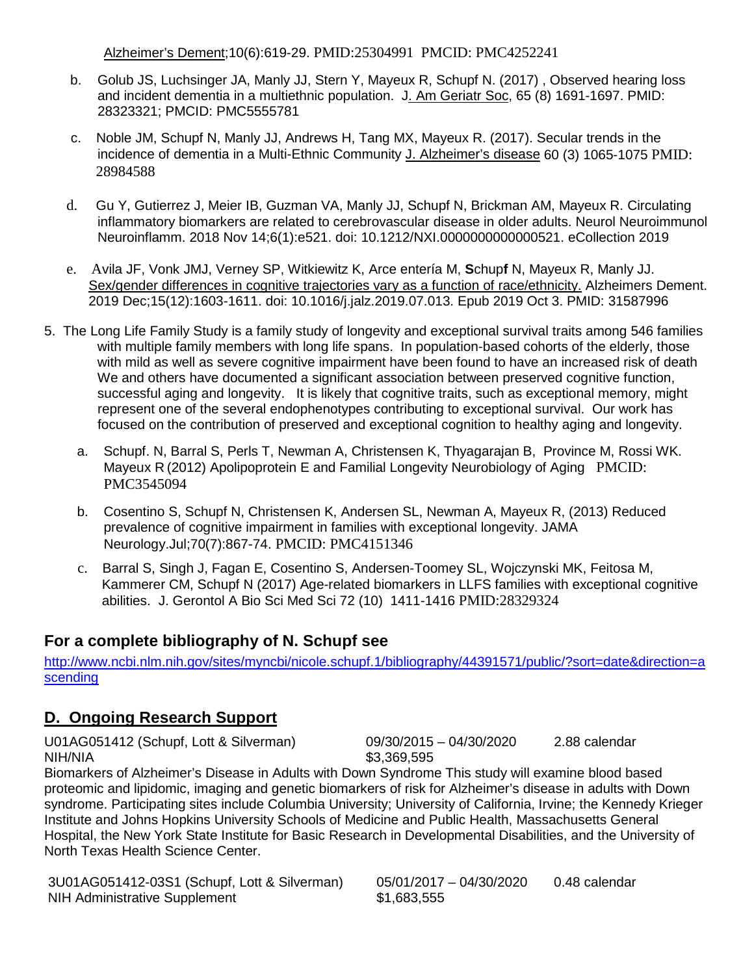Alzheimer's Dement;10(6):619-29. PMID:25304991 PMCID: [PMC4252241](https://www.ncbi.nlm.nih.gov/pmc/articles/PMC4252241/)

- b. Golub JS, Luchsinger JA, Manly JJ, Stern Y, Mayeux R, Schupf N. (2017) , Observed hearing loss and incident dementia in a multiethnic population. J. Am Geriatr Soc, 65 (8) 1691-1697. PMID: 28323321; PMCID: PMC5555781
- c. Noble JM, Schupf N, Manly JJ, Andrews H, Tang MX, Mayeux R. (2017). Secular trends in the incidence of dementia in a Multi-Ethnic Community J. Alzheimer's disease 60 (3) 1065-1075 PMID: 28984588
- d. Gu Y, Gutierrez J, Meier IB, Guzman VA, Manly JJ, Schupf N, Brickman AM, Mayeux R. Circulating inflammatory biomarkers are related to cerebrovascular disease in older adults. Neurol Neuroimmunol Neuroinflamm. 2018 Nov 14;6(1):e521. doi: 10.1212/NXI.0000000000000521. eCollection 2019
- e. Avila JF, Vonk JMJ, Verney SP, Witkiewitz K, Arce entería M, **S**chup**f** N, Mayeux R, Manly JJ. [Sex/gender differences in cognitive trajectories vary as a function of race/ethnicity.](https://www.ncbi.nlm.nih.gov/pubmed/31606366) Alzheimers Dement. 2019 Dec;15(12):1603-1611. doi: 10.1016/j.jalz.2019.07.013. Epub 2019 Oct 3. PMID: 31587996
- 5. The Long Life Family Study is a family study of longevity and exceptional survival traits among 546 families with multiple family members with long life spans. In population-based cohorts of the elderly, those with mild as well as severe cognitive impairment have been found to have an increased risk of death We and others have documented a significant association between preserved cognitive function, successful aging and longevity. It is likely that cognitive traits, such as exceptional memory, might represent one of the several endophenotypes contributing to exceptional survival. Our work has focused on the contribution of preserved and exceptional cognition to healthy aging and longevity.
	- a. Schupf. N, Barral S, Perls T, Newman A, Christensen K, Thyagarajan B, Province M, Rossi WK. Mayeux R (2012) Apolipoprotein E and Familial Longevity Neurobiology of Aging PMCID: PMC3545094
	- b. Cosentino S, Schupf N, Christensen K, Andersen SL, Newman A, Mayeux R, (2013) Reduced prevalence of cognitive impairment in families with exceptional longevity. JAMA Neurology.Jul;70(7):867-74. PMCID: PMC4151346
	- c. Barral S, Singh J, Fagan E, Cosentino S, Andersen-Toomey SL, Wojczynski MK, Feitosa M, Kammerer CM, Schupf N (2017) Age-related biomarkers in LLFS families with exceptional cognitive abilities. J. Gerontol A Bio Sci Med Sci 72 (10) 1411-1416 PMID:28329324

## **For a complete bibliography of N. Schupf see**

[http://www.ncbi.nlm.nih.gov/sites/myncbi/nicole.schupf.1/bibliography/44391571/public/?sort=date&direction=a](http://www.ncbi.nlm.nih.gov/sites/myncbi/nicole.schupf.1/bibliography/44391571/public/?sort=date&direction=ascending) [scending](http://www.ncbi.nlm.nih.gov/sites/myncbi/nicole.schupf.1/bibliography/44391571/public/?sort=date&direction=ascending)

## **D. Ongoing Research Support**

U01AG051412 (Schupf, Lott & Silverman) 09/30/2015 – 04/30/2020 2.88 calendar NIH/NIA \$3,369,595

Biomarkers of Alzheimer's Disease in Adults with Down Syndrome This study will examine blood based proteomic and lipidomic, imaging and genetic biomarkers of risk for Alzheimer's disease in adults with Down syndrome. Participating sites include Columbia University; University of California, Irvine; the Kennedy Krieger Institute and Johns Hopkins University Schools of Medicine and Public Health, Massachusetts General Hospital, the New York State Institute for Basic Research in Developmental Disabilities, and the University of North Texas Health Science Center.

3U01AG051412-03S1 (Schupf, Lott & Silverman) 05/01/2017 – 04/30/2020 0.48 calendar NIH Administrative Supplement \$1,683,555